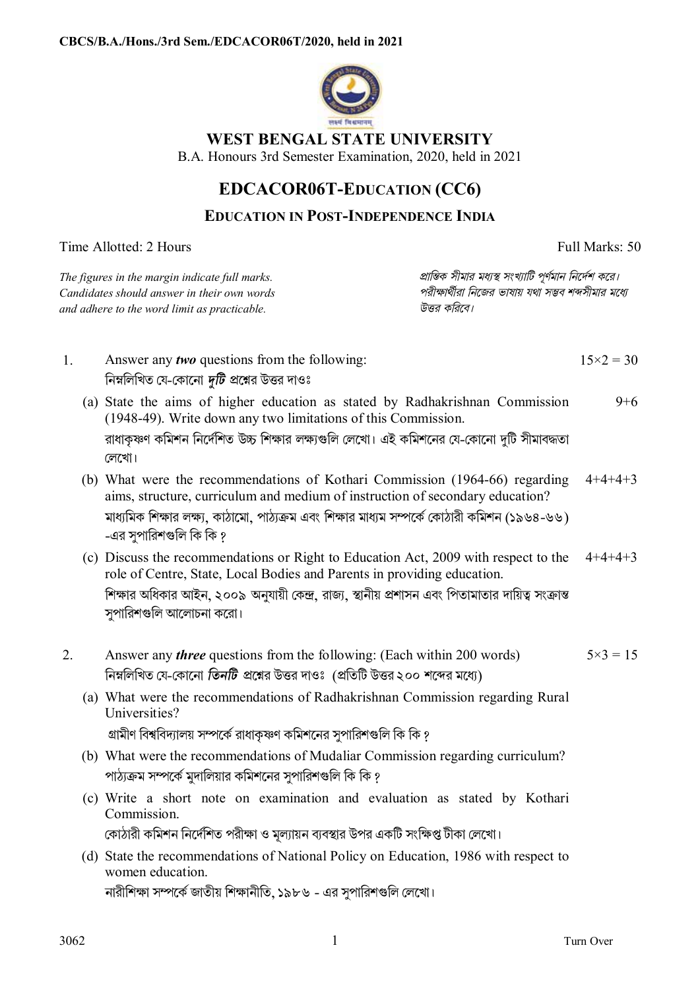

## **WEST BENGAL STATE UNIVERSITY**

B.A. Honours 3rd Semester Examination, 2020, held in 2021

## **EDCACOR06T-EDUCATION (CC6)**

## **EDUCATION IN POST-INDEPENDENCE INDIA**

|                                                                                                                                               |  | Time Allotted: 2 Hours                                                                                                                                                                                                                                                                           | Full Marks: 50                                                                                                                 |                    |
|-----------------------------------------------------------------------------------------------------------------------------------------------|--|--------------------------------------------------------------------------------------------------------------------------------------------------------------------------------------------------------------------------------------------------------------------------------------------------|--------------------------------------------------------------------------------------------------------------------------------|--------------------|
| The figures in the margin indicate full marks.<br>Candidates should answer in their own words<br>and adhere to the word limit as practicable. |  |                                                                                                                                                                                                                                                                                                  | প্রান্তিক সীমার মধ্যস্থ সংখ্যাটি পূর্ণমান নির্দেশ করে।<br>পরীক্ষার্থীরা নিজের ভাষায় যথা সম্ভব শব্দসীমার মধ্যে<br>উত্তর করিবে। |                    |
| 1.                                                                                                                                            |  | Answer any <i>two</i> questions from the following:<br>নিম্নলিখিত যে-কোনো <i>দুটি প্র</i> শ্নের উত্তর দাওঃ                                                                                                                                                                                       |                                                                                                                                | $15 \times 2 = 30$ |
|                                                                                                                                               |  | (a) State the aims of higher education as stated by Radhakrishnan Commission<br>(1948-49). Write down any two limitations of this Commission.<br>রাধাকৃষ্ণণ কমিশন নির্দেশিত উচ্চ শিক্ষার লক্ষ্যগুলি লেখো। এই কমিশনের যে-কোনো দুটি সীমাবদ্ধতা<br>লেখো।                                            |                                                                                                                                | $9 + 6$            |
|                                                                                                                                               |  | (b) What were the recommendations of Kothari Commission (1964-66) regarding<br>aims, structure, curriculum and medium of instruction of secondary education?<br>মাধ্যমিক শিক্ষার লক্ষ্য, কাঠামো, পাঠ্যক্রম এবং শিক্ষার মাধ্যম সম্পর্কে কোঠারী কমিশন (১৯৬৪-৬৬)<br>-এর সুপারিশগুলি কি কি ?         |                                                                                                                                |                    |
|                                                                                                                                               |  | (c) Discuss the recommendations or Right to Education Act, 2009 with respect to the<br>role of Centre, State, Local Bodies and Parents in providing education.<br>শিক্ষার অধিকার আইন, ২০০৯ অনুযায়ী কেন্দ্র, রাজ্য, স্থানীয় প্রশাসন এবং পিতামাতার দায়িত্ব সংক্রান্ত<br>সুপারিশগুলি আলোচনা করো। |                                                                                                                                | $4+4+4+3$          |
| 2.                                                                                                                                            |  | Answer any <i>three</i> questions from the following: (Each within 200 words)<br>নিম্নলিখিত যে-কোনো <i>তিনটি প্র</i> শ্নের উত্তর দাওঃ (প্রতিটি উত্তর ২০০ শব্দের মধ্যে)                                                                                                                           |                                                                                                                                | $5 \times 3 = 15$  |
|                                                                                                                                               |  | (a) What were the recommendations of Radhakrishnan Commission regarding Rural<br>Universities?<br>গ্রামীণ বিশ্ববিদ্যালয় সম্পর্কে রাধাকৃষ্ণণ কমিশনের সুপারিশগুলি কি কি ?                                                                                                                         |                                                                                                                                |                    |
|                                                                                                                                               |  | (b) What were the recommendations of Mudaliar Commission regarding curriculum?<br>পাঠ্যক্রম সম্পর্কে মুদালিয়ার কমিশনের সুপারিশগুলি কি কি ?                                                                                                                                                      |                                                                                                                                |                    |
|                                                                                                                                               |  | (c) Write a short note on examination and evaluation as stated by Kothari<br>Commission.<br>কোঠারী কমিশন নির্দেশিত পরীক্ষা ও মূল্যায়ন ব্যবস্থার উপর একটি সংক্ষিপ্ত টীকা লেখো।                                                                                                                   |                                                                                                                                |                    |
|                                                                                                                                               |  | (d) State the recommendations of National Policy on Education, 1986 with respect to<br>women education.                                                                                                                                                                                          |                                                                                                                                |                    |